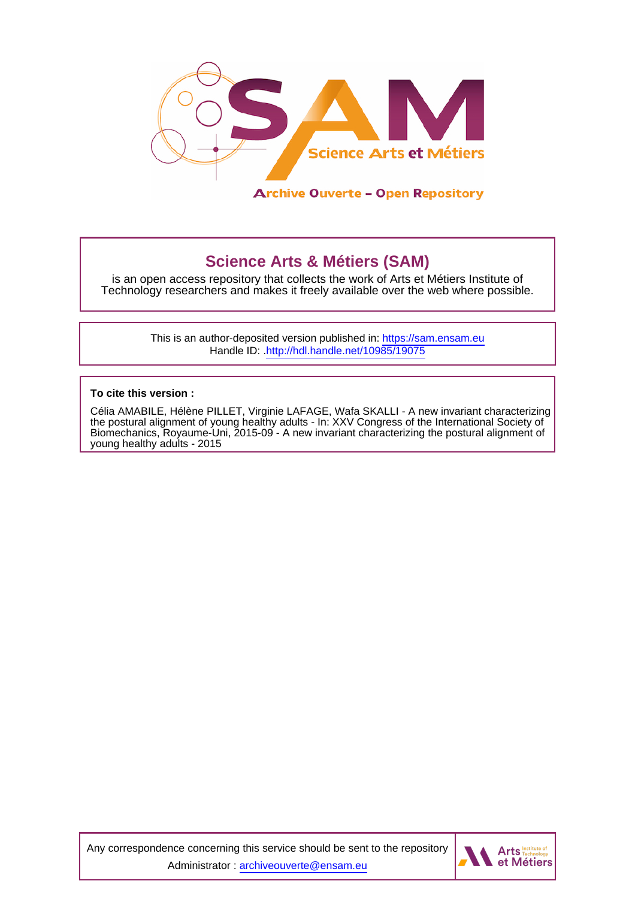

## **Science Arts & Métiers (SAM)**

is an open access repository that collects the work of Arts et Métiers Institute of Technology researchers and makes it freely available over the web where possible.

> This is an author-deposited version published in:<https://sam.ensam.eu> Handle ID: [.http://hdl.handle.net/10985/19075](http://hdl.handle.net/10985/19075)

**To cite this version :**

Célia AMABILE, Hélène PILLET, Virginie LAFAGE, Wafa SKALLI - A new invariant characterizing the postural alignment of young healthy adults - In: XXV Congress of the International Society of Biomechanics, Royaume-Uni, 2015-09 - A new invariant characterizing the postural alignment of young healthy adults - 2015

Any correspondence concerning this service should be sent to the repository Administrator : [archiveouverte@ensam.eu](mailto:archiveouverte@ensam.eu)

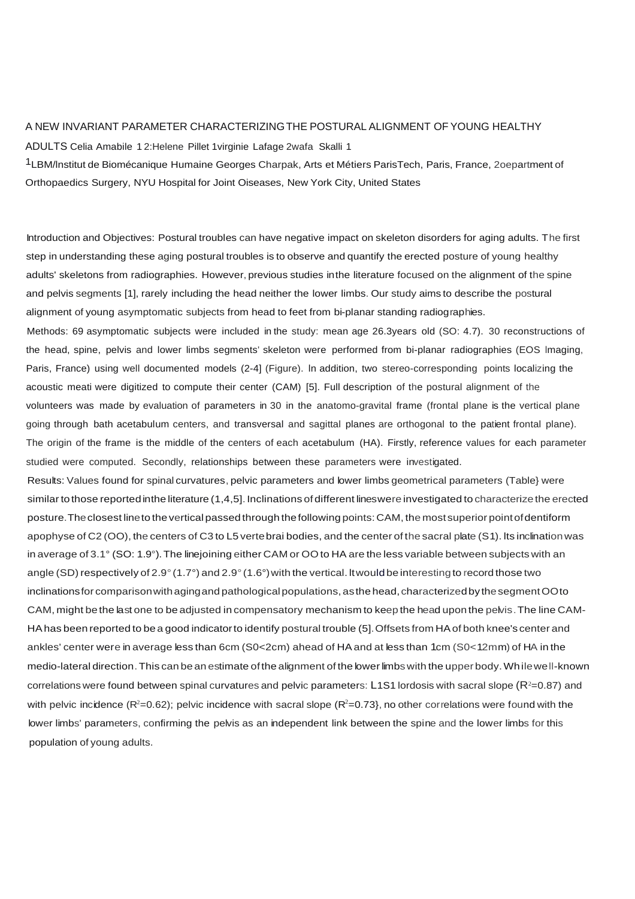## A NEW INVARIANT PARAMETER CHARACTERIZINGTHE POSTURAL ALIGNMENT OF YOUNG HEALTHY

ADULTS Celia Amabile 1 2:Helene Pillet 1virginie Lafage 2wafa Skalli 1

1LBM/lnstitut de Biomécanique Humaine Georges Charpak, Arts et Métiers ParisTech, Paris, France, 2oepartment of Orthopaedics Surgery, NYU Hospital for Joint Oiseases, New York City, United States

Introduction and Objectives: Postural troubles can have negative impact on skeleton disorders for aging adults. The first step in understanding these aging postural troubles is to observe and quantify the erected posture of young healthy adults' skeletons from radiographies. However, previous studies in the literature focused on the alignment of the spine and pelvis segments [1], rarely including the head neither the lower limbs. Our study aims to describe the postural alignment of young asymptomatic subjects from head to feet from bi-planar standing radiographies.

Methods: 69 asymptomatic subjects were included in the study: mean age 26.3years old (SO: 4.7). 30 reconstructions of the head, spine, pelvis and lower limbs segments' skeleton were performed from bi-planar radiographies (EOS lmaging, Paris, France) using well documented models (2-4] (Figure). ln addition, two stereo-corresponding points localizing the acoustic meati were digitized to compute their center (CAM) [5]. Full description of the postural alignment of the volunteers was made by evaluation of parameters in 30 in the anatomo-gravital frame (frontal plane is the vertical plane going through bath acetabulum centers, and transversal and sagittal planes are orthogonal to the patient frontal plane). The origin of the frame is the middle of the centers of each acetabulum (HA). Firstly, reference values for each parameter studied were computed. Secondly, relationships between these parameters were investigated.

Results: Values found for spinal curvatures, pelvic parameters and lower limbs geometrical parameters (Table} were similar to those reported in the literature (1,4,5]. Inclinations of different lineswere investigated to characterize the erected posture. The closest line to the vertical passed through thefollowing points:CAM, the most superior pointofdentiform apophyse of C2 (OO), the centers of C3 to L5 vertebrai bodies, and the center of the sacral plate (S1). lts inclinationwas in average of 3.1° (SO: 1.9°). The linejoining either CAM or OO to HA are the less variable between subjects with an angle (SD) respectively of 2.9° (1.7°) and 2.9° (1.6°) with the vertical. It would be interesting to record those two inclinations for comparison with aging and pathological populations, as the head, characterized by the segment OOto CAM, might be the last one to be adjusted in compensatory mechanism to keep the head upon the pelvis. The line CAM-HAhas been reported to be a good indicatorto identify postural trouble (5]. Offsets from HAof both knee's center and ankles' center were in average less than 6cm (S0<2cm) ahead of HA and at less than 1cm (S0<12mm) of HA in the medio-lateral direction. This can be an estimate ofthe alignment of the lower limbs with the upper body.Whilewell-known correlations were found between spinal curvatures and pelvic parameters: <code>L1S1</code> lordosis with sacral slope  $(\mathsf{R}^2\text{=}0.87)$  and with pelvic incidence (R<sup>2</sup>=0.62); pelvic incidence with sacral slope (R<sup>2</sup>=0.73}, no other correlations were found with the lower limbs' parameters, confirming the pelvis as an independent link between the spine and the lower limbs for this population of young adults.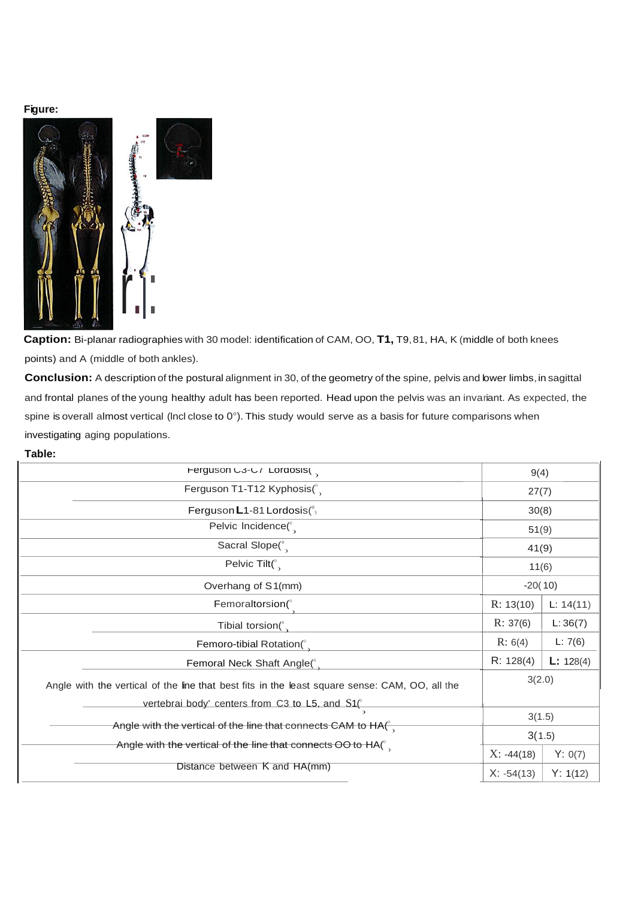## **Figure:**



**Caption:** Bi-planar radiographies with 30 model: identification of CAM, OO, **T1,** T9, 81, HA, K (middle of both knees points) and A (middle of both ankles).

**Conclusion:** A description of the postural alignment in 30, of the geometry of the spine, pelvis and lower limbs, in sagittal and frontal planes of the young healthy adult has been reported. Head upon the pelvis was an invariant. As expected, the spine is overall almost vertical (lncl close to 0°). This study would serve as a basis for future comparisons when investigating aging populations.

## **Table:**

| Ferguson C3-C/ Lordosis(                                                                                                                          | 9(4)         |           |
|---------------------------------------------------------------------------------------------------------------------------------------------------|--------------|-----------|
| Ferguson T1-T12 Kyphosis(°                                                                                                                        | 27(7)        |           |
| Ferguson $L$ 1-81 Lordosis $\binom{0}{2}$                                                                                                         | 30(8)        |           |
| Pelvic Incidence $\binom{0}{3}$                                                                                                                   | 51(9)        |           |
| Sacral Slope(°                                                                                                                                    | 41(9)        |           |
| Pelvic Tilt( $\int_{0}^{\infty}$                                                                                                                  | 11(6)        |           |
| Overhang of S1(mm)                                                                                                                                | $-20(10)$    |           |
| Femoraltorsion(                                                                                                                                   | R: 13(10)    | L: 14(11) |
| Tibial torsion(°                                                                                                                                  | R: 37(6)     | L:36(7)   |
| Femoro-tibial Rotation(°                                                                                                                          | R: 6(4)      | L: 7(6)   |
| Femoral Neck Shaft Angle(°                                                                                                                        | R: 128(4)    | L: 128(4) |
| Angle with the vertical of the line that best fits in the least square sense: CAM, OO, all the<br>vertebrai body' centers from C3 to L5, and S1(° | 3(2.0)       |           |
|                                                                                                                                                   | 3(1.5)       |           |
| Angle with the vertical of the line that connects CAM to $HA^{\circ}$<br>Angle with the vertical of the line that connects OO to $HA(^\circ)$     | 3(1.5)       |           |
|                                                                                                                                                   | $X: -44(18)$ | Y: 0(7)   |
| Distance between K and HA(mm)                                                                                                                     | $X: -54(13)$ | Y: 1(12)  |